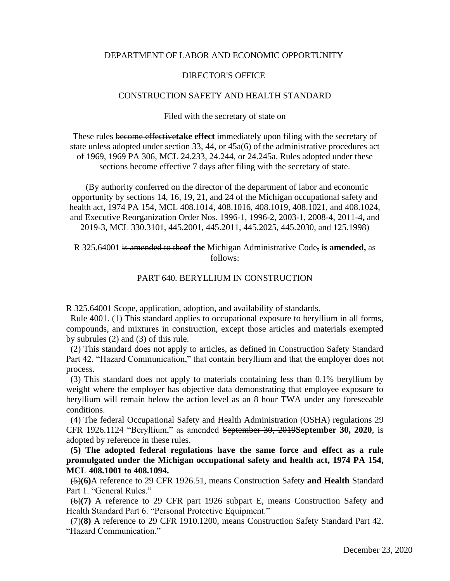### DEPARTMENT OF LABOR AND ECONOMIC OPPORTUNITY

#### DIRECTOR'S OFFICE

### CONSTRUCTION SAFETY AND HEALTH STANDARD

Filed with the secretary of state on

These rules become effective**take effect** immediately upon filing with the secretary of state unless adopted under section 33, 44, or 45a(6) of the administrative procedures act of 1969, 1969 PA 306, MCL 24.233, 24.244, or 24.245a. Rules adopted under these sections become effective 7 days after filing with the secretary of state.

 (By authority conferred on the director of the department of labor and economic opportunity by sections 14, 16, 19, 21, and 24 of the Michigan occupational safety and health act, 1974 PA 154, MCL 408.1014, 408.1016, 408.1019, 408.1021, and 408.1024, and Executive Reorganization Order Nos. 1996-1, 1996-2, 2003-1, 2008-4, 2011-4**,** and 2019-3, MCL 330.3101, 445.2001, 445.2011, 445.2025, 445.2030, and 125.1998)

## R 325.64001 is amended to the**of the** Michigan Administrative Code, **is amended,** as follows:

# PART 640. BERYLLIUM IN CONSTRUCTION

R 325.64001 Scope, application, adoption, and availability of standards.

 Rule 4001. (1) This standard applies to occupational exposure to beryllium in all forms, compounds, and mixtures in construction, except those articles and materials exempted by subrules (2) and (3) of this rule.

 (2) This standard does not apply to articles, as defined in Construction Safety Standard Part 42. "Hazard Communication," that contain beryllium and that the employer does not process.

 (3) This standard does not apply to materials containing less than 0.1% beryllium by weight where the employer has objective data demonstrating that employee exposure to beryllium will remain below the action level as an 8 hour TWA under any foreseeable conditions.

 (4) The federal Occupational Safety and Health Administration (OSHA) regulations 29 CFR 1926.1124 "Beryllium," as amended September 30, 2019**September 30, 2020**, is adopted by reference in these rules.

 **(5) The adopted federal regulations have the same force and effect as a rule promulgated under the Michigan occupational safety and health act, 1974 PA 154, MCL 408.1001 to 408.1094.**

 (5)**(6)**A reference to 29 CFR 1926.51, means Construction Safety **and Health** Standard Part 1. "General Rules."

 (6)**(7)** A reference to 29 CFR part 1926 subpart E, means Construction Safety and Health Standard Part 6. "Personal Protective Equipment."

 (7)**(8)** A reference to 29 CFR 1910.1200, means Construction Safety Standard Part 42. "Hazard Communication."